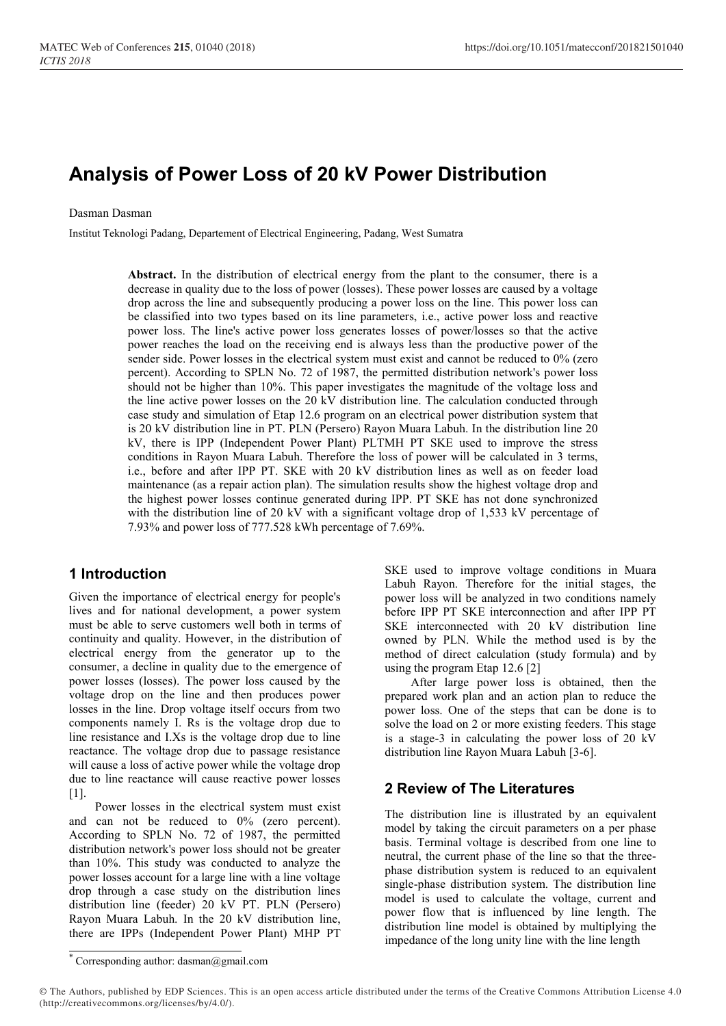# Analysis of Power Loss of 20 kV Power Distribution

#### Dasman Dasman

Institut Teknologi Padang, Departement of Electrical Engineering, Padang, West Sumatra

Abstract. In the distribution of electrical energy from the plant to the consumer, there is a decrease in quality due to the loss of power (losses). These power losses are caused by a voltage drop across the line and subsequently producing a power loss on the line. This power loss can be classified into two types based on its line parameters, i.e., active power loss and reactive power loss. The line's active power loss generates losses of power/losses so that the active power reaches the load on the receiving end is always less than the productive power of the sender side. Power losses in the electrical system must exist and cannot be reduced to 0% (zero percent). According to SPLN No. 72 of 1987, the permitted distribution network's power loss should not be higher than 10%. This paper investigates the magnitude of the voltage loss and the line active power losses on the 20 kV distribution line. The calculation conducted through case study and simulation of Etap 12.6 program on an electrical power distribution system that is 20 kV distribution line in PT. PLN (Persero) Rayon Muara Labuh. In the distribution line 20 kV, there is IPP (Independent Power Plant) PLTMH PT SKE used to improve the stress conditions in Rayon Muara Labuh. Therefore the loss of power will be calculated in 3 terms, i.e., before and after IPP PT. SKE with 20 kV distribution lines as well as on feeder load maintenance (as a repair action plan). The simulation results show the highest voltage drop and the highest power losses continue generated during IPP. PT SKE has not done synchronized with the distribution line of 20 kV with a significant voltage drop of 1,533 kV percentage of 7.93% and power loss of 777.528 kWh percentage of 7.69%.

# 1 Introduction

Given the importance of electrical energy for people's lives and for national development, a power system must be able to serve customers well both in terms of continuity and quality. However, in the distribution of electrical energy from the generator up to the consumer, a decline in quality due to the emergence of power losses (losses). The power loss caused by the voltage drop on the line and then produces power losses in the line. Drop voltage itself occurs from two components namely I. Rs is the voltage drop due to line resistance and I.Xs is the voltage drop due to line reactance. The voltage drop due to passage resistance will cause a loss of active power while the voltage drop due to line reactance will cause reactive power losses [1].

Power losses in the electrical system must exist and can not be reduced to 0% (zero percent). According to SPLN No. 72 of 1987, the permitted distribution network's power loss should not be greater than 10%. This study was conducted to analyze the power losses account for a large line with a line voltage drop through a case study on the distribution lines distribution line (feeder) 20 kV PT. PLN (Persero) Rayon Muara Labuh. In the 20 kV distribution line, there are IPPs (Independent Power Plant) MHP PT

SKE used to improve voltage conditions in Muara Labuh Rayon. Therefore for the initial stages, the power loss will be analyzed in two conditions namely before IPP PT SKE interconnection and after IPP PT SKE interconnected with 20 kV distribution line owned by PLN. While the method used is by the method of direct calculation (study formula) and by using the program Etap 12.6 [2]

After large power loss is obtained, then the prepared work plan and an action plan to reduce the power loss. One of the steps that can be done is to solve the load on 2 or more existing feeders. This stage is a stage-3 in calculating the power loss of 20 kV distribution line Rayon Muara Labuh [3-6].

# 2 Review of The Literatures

The distribution line is illustrated by an equivalent model by taking the circuit parameters on a per phase basis. Terminal voltage is described from one line to neutral, the current phase of the line so that the threephase distribution system is reduced to an equivalent single-phase distribution system. The distribution line model is used to calculate the voltage, current and power flow that is influenced by line length. The distribution line model is obtained by multiplying the impedance of the long unity line with the line length

<sup>\*</sup> Corresponding author: dasman@gmail.com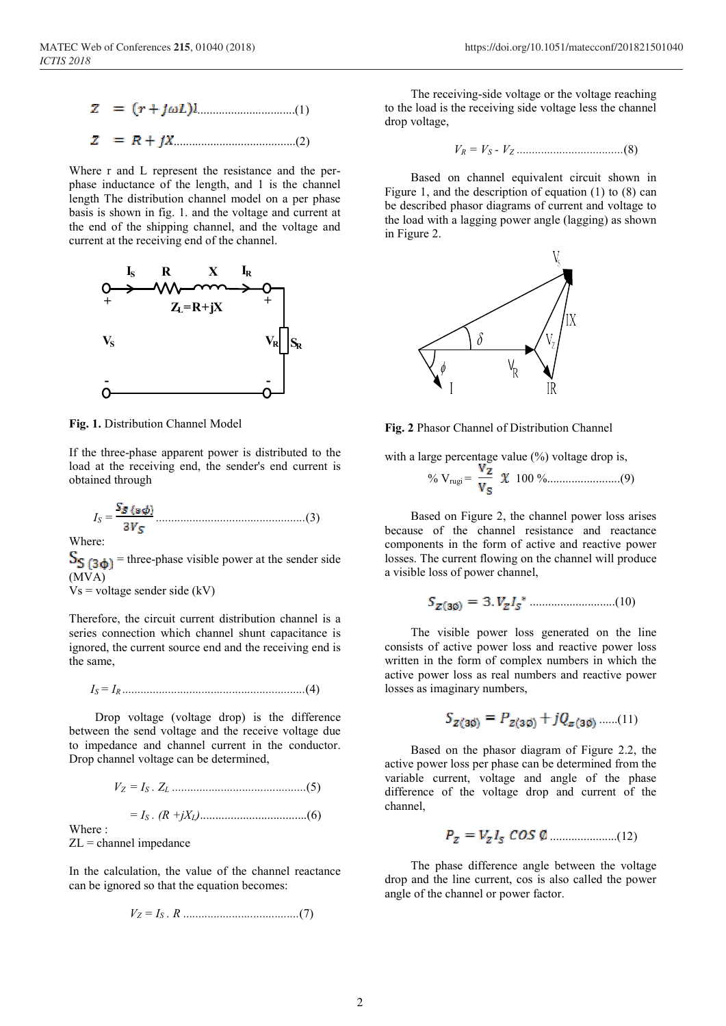$$
z = (r + j\omega L)l
$$
 (1)  

$$
z = R + jX
$$
 (2)

Where r and L represent the resistance and the perphase inductance of the length, and 1 is the channel length The distribution channel model on a per phase basis is shown in fig. 1. and the voltage and current at the end of the shipping channel, and the voltage and current at the receiving end of the channel.



Fig. 1. Distribution Channel Model

If the three-phase apparent power is distributed to the load at the receiving end, the sender's end current is obtained through

IS = .................................................(3)

Where:

 $S_{\frac{1}{2}}(3\phi)$  = three-phase visible power at the sender side (MVA)

 $V_s$  = voltage sender side (kV)

Therefore, the circuit current distribution channel is a series connection which channel shunt capacitance is ignored, the current source end and the receiving end is the same,

IS = IR ............................................................(4)

 Drop voltage (voltage drop) is the difference between the send voltage and the receive voltage due to impedance and channel current in the conductor. Drop channel voltage can be determined,

VZ = IS . ZL ............................................(5)

$$
= I_S \cdot (R + jX_L) \dots (6)
$$

Where :

 $ZL =$ channel impedance

In the calculation, the value of the channel reactance can be ignored so that the equation becomes:

VZ = IS . R ......................................(7)

 The receiving-side voltage or the voltage reaching to the load is the receiving side voltage less the channel drop voltage,

VR = VS - VZ ...................................(8)

 Based on channel equivalent circuit shown in Figure 1, and the description of equation (1) to (8) can be described phasor diagrams of current and voltage to the load with a lagging power angle (lagging) as shown in Figure 2.



Fig. 2 Phasor Channel of Distribution Channel

with a large percentage value (%) voltage drop is, % Vrugi = 100 %........................(9)

 Based on Figure 2, the channel power loss arises because of the channel resistance and reactance components in the form of active and reactive power losses. The current flowing on the channel will produce a visible loss of power channel,

$$
S_{Z(30)}=3. V_Z I_S^* \dots (10)
$$

 The visible power loss generated on the line consists of active power loss and reactive power loss written in the form of complex numbers in which the active power loss as real numbers and reactive power losses as imaginary numbers,

$$
S_{Z(30)} = P_{Z(30)} + jQ_{Z(30)} \dots (11)
$$

 Based on the phasor diagram of Figure 2.2, the active power loss per phase can be determined from the variable current, voltage and angle of the phase difference of the voltage drop and current of the channel,

$$
P_z = V_z I_s \cos \phi
$$
 (12)

 The phase difference angle between the voltage drop and the line current, cos is also called the power angle of the channel or power factor.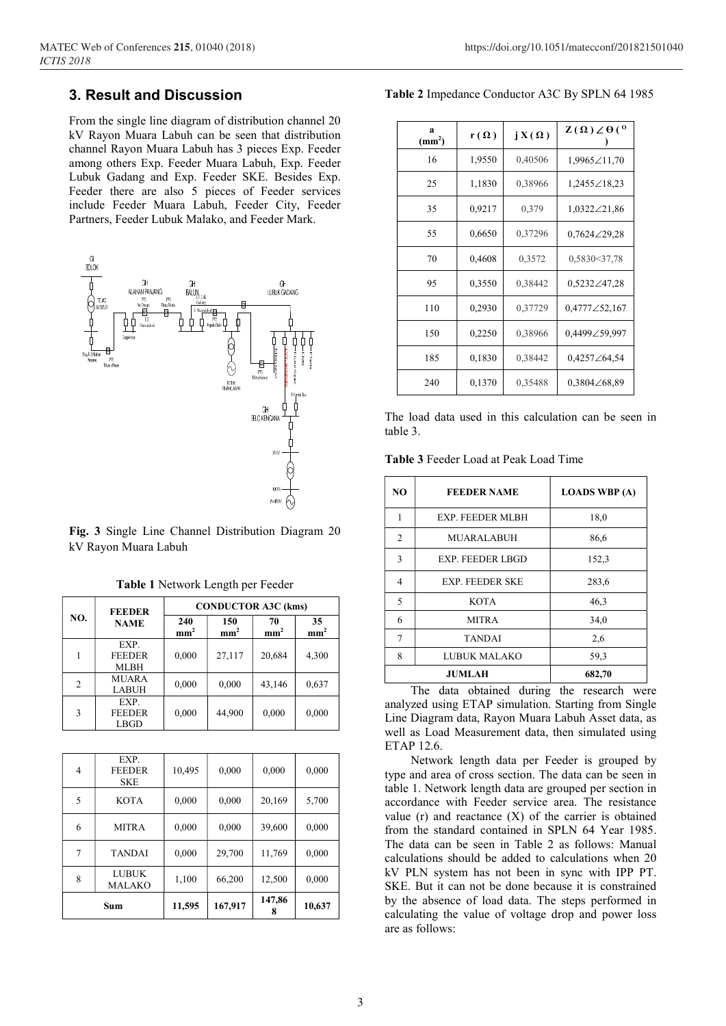# 3. Result and Discussion

From the single line diagram of distribution channel 20 kV Rayon Muara Labuh can be seen that distribution channel Rayon Muara Labuh has 3 pieces Exp. Feeder among others Exp. Feeder Muara Labuh, Exp. Feeder Lubuk Gadang and Exp. Feeder SKE. Besides Exp. Feeder there are also 5 pieces of Feeder services include Feeder Muara Labuh, Feeder City, Feeder Partners, Feeder Lubuk Malako, and Feeder Mark.



Fig. 3 Single Line Channel Distribution Diagram 20 kV Rayon Muara Labuh

|                | <b>FEEDER</b><br><b>NAME</b>         | <b>CONDUCTOR A3C (kms)</b> |                        |                       |                       |  |
|----------------|--------------------------------------|----------------------------|------------------------|-----------------------|-----------------------|--|
| NO.            |                                      | 240<br>mm <sup>2</sup>     | 150<br>mm <sup>2</sup> | 70<br>mm <sup>2</sup> | 35<br>mm <sup>2</sup> |  |
|                | EXP.<br><b>FEEDER</b><br><b>MLBH</b> | 0,000                      | 27,117                 | 20,684                | 4,300                 |  |
| $\overline{2}$ | <b>MUARA</b><br><b>LABUH</b>         | 0,000                      | 0,000                  | 43,146                | 0,637                 |  |
| 3              | EXP.<br><b>FEEDER</b><br>LBGD        | 0,000                      | 44,900                 | 0,000                 | 0,000                 |  |

Table 1 Network Length per Feeder

| Sum |                                     | 11,595 | 167,917 | 147,86 | 10,637 |
|-----|-------------------------------------|--------|---------|--------|--------|
| 8   | <b>LUBUK</b><br><b>MALAKO</b>       | 1,100  | 66,200  | 12,500 | 0,000  |
| 7   | <b>TANDAI</b>                       | 0,000  | 29,700  | 11,769 | 0,000  |
| 6   | <b>MITRA</b>                        | 0,000  | 0,000   | 39,600 | 0,000  |
| 5   | <b>KOTA</b>                         | 0,000  | 0,000   | 20,169 | 5,700  |
| 4   | EXP.<br><b>FEEDER</b><br><b>SKE</b> | 10,495 | 0,000   | 0,000  | 0,000  |

Table 2 Impedance Conductor A3C By SPLN 64 1985

| a<br>(mm <sup>2</sup> ) | $r(\Omega)$ | $jX(\Omega)$ | $Z(\Omega) Z \theta({}^0)$ |
|-------------------------|-------------|--------------|----------------------------|
| 16                      | 1,9550      | 0,40506      | 1,9965∠11,70               |
| 25                      | 1,1830      | 0,38966      | 1,2455 $\angle$ 18,23      |
| 35                      | 0,9217      | 0,379        | $1,0322 \angle 21,86$      |
| 55                      | 0,6650      | 0,37296      | $0,7624\angle 29,28$       |
| 70                      | 0,4608      | 0,3572       | 0,5830<37,78               |
| 95                      | 0,3550      | 0,38442      | $0,5232\angle 47,28$       |
| 110                     | 0,2930      | 0,37729      | $0,4777\angle 52,167$      |
| 150                     | 0,2250      | 0,38966      | 0,4499∠59,997              |
| 185                     | 0,1830      | 0,38442      | 0,4257 $\angle$ 64,54      |
| 240                     | 0,1370      | 0,35488      | $0,3804\angle 68,89$       |

The load data used in this calculation can be seen in table 3.

| Table 3 Feeder Load at Peak Load Time |  |  |  |  |  |  |  |  |
|---------------------------------------|--|--|--|--|--|--|--|--|
|---------------------------------------|--|--|--|--|--|--|--|--|

| N <sub>O</sub> | <b>FEEDER NAME</b>      | <b>LOADS WBP</b> (A) |
|----------------|-------------------------|----------------------|
| 1              | <b>EXP. FEEDER MLBH</b> | 18,0                 |
| $\overline{2}$ | <b>MUARALABUH</b>       | 86,6                 |
| 3              | EXP. FEEDER LBGD        | 152,3                |
| 4              | <b>EXP. FEEDER SKE</b>  | 283,6                |
| 5              | <b>KOTA</b>             | 46,3                 |
| 6              | <b>MITRA</b>            | 34,0                 |
| $\overline{7}$ | <b>TANDAI</b>           | 2,6                  |
| 8              | LUBUK MALAKO            | 59,3                 |
|                | <b>JUMLAH</b>           | 682,70               |

 The data obtained during the research were analyzed using ETAP simulation. Starting from Single Line Diagram data, Rayon Muara Labuh Asset data, as well as Load Measurement data, then simulated using ETAP 12.6.

 Network length data per Feeder is grouped by type and area of cross section. The data can be seen in table 1. Network length data are grouped per section in accordance with Feeder service area. The resistance value  $(r)$  and reactance  $(X)$  of the carrier is obtained from the standard contained in SPLN 64 Year 1985. The data can be seen in Table 2 as follows: Manual calculations should be added to calculations when 20 kV PLN system has not been in sync with IPP PT. SKE. But it can not be done because it is constrained by the absence of load data. The steps performed in calculating the value of voltage drop and power loss are as follows: